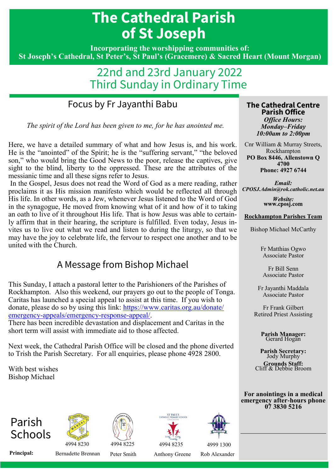# **The Cathedral Parish of St Joseph**

**Incorporating the worshipping communities of: St Joseph's Cathedral, St Peter's, St Paul's (Gracemere) & Sacred Heart (Mount Morgan)** 

# 22nd and 23rd January 2022 Third Sunday in Ordinary Time

# Focus by Fr Jayanthi Babu

*The spirit of the Lord has been given to me, for he has anointed me.*

Here, we have a detailed summary of what and how Jesus is, and his work. He is the "anointed" of the Spirit; he is the "suffering servant," "the beloved son," who would bring the Good News to the poor, release the captives, give sight to the blind, liberty to the oppressed. These are the attributes of the messianic time and all these signs refer to Jesus.

In the Gospel, Jesus does not read the Word of God as a mere reading, rather proclaims it as His mission manifesto which would be reflected all through His life. In other words, as a Jew, whenever Jesus listened to the Word of God in the synagogue, He moved from knowing what of it and how of it to taking an oath to live of it throughout His life. That is how Jesus was able to certainly affirm that in their hearing, the scripture is fulfilled. Even today, Jesus invites us to live out what we read and listen to during the liturgy, so that we may have the joy to celebrate life, the fervour to respect one another and to be united with the Church.

#### A Message from Bishop Michael

This Sunday, I attach a pastoral letter to the Parishioners of the Parishes of Rockhampton. Also this weekend, our prayers go out to the people of Tonga. Caritas has launched a special appeal to assist at this time. If you wish to donate, please do so by using this link: [https://www.caritas.org.au/donate/](https://www.caritas.org.au/donate/emergency-appeals/emergency-response-appeal/) [emergency-appeals/emergency-response-appeal/.](https://www.caritas.org.au/donate/emergency-appeals/emergency-response-appeal/)

There has been incredible devastation and displacement and Caritas in the short term will assist with immediate aid to those affected.

Next week, the Cathedral Parish Office will be closed and the phone diverted to Trish the Parish Secretary. For all enquiries, please phone 4928 2800.

With best wishes Bishop Michael











4994 8230 4994 8225 4994 8235 4999 1300

Principal: Bernadette Brennan Peter Smith Anthony Greene Rob Alexander

#### **The Cathedral Centre Parish Office** *Office Hours: Monday–Friday 10:00am to 2:00pm*

Cnr William & Murray Streets, Rockhampton **PO Box 8446, Allenstown Q 4700 Phone: 4927 6744**

*Email: CPOSJ.Admin@rok.catholic.net.au*

> Website: www.cposj.com

#### **Rockhampton Parishes Team**

Bishop Michael McCarthy

Fr Matthias Ogwo Associate Pastor

Fr Bill Senn Associate Pastor

Fr Jayanthi Maddala Associate Pastor

Fr Frank Gilbert Retired Priest Assisting

> **Parish Manager:**  Gerard Hogan

**Parish Secretary:**  Jody Murphy **Grounds Staff:**  Cliff & Debbie Broom

**For anointings in a medical emergency after-hours phone 07 3830 5216**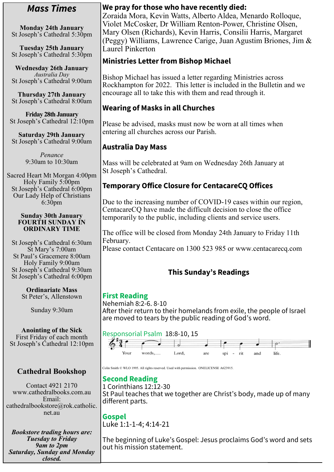#### *Mass Times*

**Monday 24th January**  St Joseph's Cathedral 5:30pm

**Tuesday 25th January**  St Joseph's Cathedral 5:30pm

**Wednesday 26th January** *Australia Day*  St Joseph's Cathedral 9:00am

**Thursday 27th January**  St Joseph's Cathedral 8:00am

**Friday 28th January**  St Joseph's Cathedral 12:10pm

**Saturday 29th January**  St Joseph's Cathedral 9:00am

> *Penance* 9:30am to 10:30am

Sacred Heart Mt Morgan 4:00pm Holy Family 5:00pm St Joseph's Cathedral 6:00pm Our Lady Help of Christians 6:30pm

#### **Sunday 30th January FOURTH SUNDAY IN ORDINARY TIME**

St Joseph's Cathedral 6:30am St Mary's 7:00am St Paul's Gracemere 8:00am Holy Family 9:00am St Joseph's Cathedral 9:30am St Joseph's Cathedral 6:00pm

> **Ordinariate Mass** St Peter's, Allenstown

> > Sunday 9:30am

**Anointing of the Sick** First Friday of each month St Joseph's Cathedral 12:10pm

#### **Cathedral Bookshop**

Contact 4921 2170 www.cathedralbooks.com.au Email: cathedralbookstore@rok.catholic. net.au

*Bookstore trading hours are: Tuesday to Friday 9am to 2pm Saturday, Sunday and Monday closed.*

# **We pray for those who have recently died:**

Zoraida Mora, Kevin Watts, Alberto Aldea, Menardo Rolloque, Violet McCosker, Dr William Renton-Power, Christine Olsen, Mary Olsen (Richards), Kevin Harris, Consilii Harris, Margaret (Peggy) Williams, Lawrence Carige, Juan Agustim Briones, Jim & Laurel Pinkerton

# **Ministries Letter from Bishop Michael**

Bishop Michael has issued a letter regarding Ministries across Rockhampton for 2022. This letter is included in the Bulletin and we encourage all to take this with them and read through it.

# **Wearing of Masks in all Churches**

Please be advised, masks must now be worn at all times when entering all churches across our Parish.

#### **Australia Day Mass**

Mass will be celebrated at 9am on Wednesday 26th January at St Joseph's Cathedral.

# **Temporary Office Closure for CentacareCQ Offices**

Due to the increasing number of COVID-19 cases within our region, CentacareCQ have made the difficult decision to close the office temporarily to the public, including clients and service users.

The office will be closed from Monday 24th January to Friday 11th February.

Please contact Centacare on 1300 523 985 or www.centacarecq.com

# **This Sunday's Readings**

#### **First Reading**

Nehemiah 8:2-6. 8-10 After their return to their homelands from exile, the people of Israel are moved to tears by the public reading of God's word.

#### Responsorial Psalm 18:8-10, 15



Colin Smith © WLO 1995. All rights reserved. Used with permission. ONELICENSE A623915.

# **Second Reading**

1 Corinthians 12:12-30 St Paul teaches that we together are Christ's body, made up of many different parts.

**Gospel** Luke 1:1-1-4; 4:14-21

The beginning of Luke's Gospel: Jesus proclaims God's word and sets out his mission statement.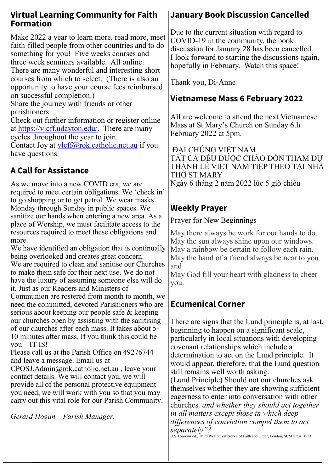#### **Virtual Learning Community for Faith Formation**

Make 2022 a year to learn more, read more, meet faith-filled people from other countries and to do something for you! Five weeks courses and three week seminars available. All online. There are many wonderful and interesting short courses from which to select. (There is also an opportunity to have your course fees reimbursed on successful completion.) Share the journey with friends or other parishioners.

Check out further information or register online at [https://vlcff.udayton.edu/.](https://vlcff.udayton.edu/) There are many cycles throughout the year to join.

Contact Joy at [vlcff@rok.catholic.net.au](mailto:vlcff@rok.catholic.net.au) if you have questions.

# **A Call for Assistance**

As we move into a new COVID era, we are required to meet certain obligations. We 'check in' to go shopping or to get petrol. We wear masks Monday through Sunday in public spaces. We sanitize our hands when entering a new area. As a place of Worship, we must facilitate access to the resources required to meet these obligations and more.

We have identified an obligation that is continually being overlooked and creates great concern. We are required to clean and sanitise our Churches to make them safe for their next use. We do not have the luxury of assuming someone else will do it. Just as our Readers and Ministers of Communion are rostered from month to month, we need the committed, devoted Parishioners who are serious about keeping our people safe & keeping our churches open by assisting with the sanitising of our churches after each mass. It takes about 5- 10 minutes after mass. If you think this could be you – IT IS!

Please call us at the Parish Office on 49276744 and leave a message. Email us at

[CPOSJ.Admin@rok.catholic.net.au](mailto:CPOSJ.Admin@rok.catholic.net.au) , leave your contact details. We will contact you, we will provide all of the personal protective equipment you need, we will work with you so that you may carry out this vital role for our Parish Community.

*Gerard Hogan – Parish Manager.* 

# **January Book Discussion Cancelled**

Due to the current situation with regard to COVID-19 in the community, the book discussion for January 28 has been cancelled. I look forward to starting the discussions again, hopefully in February. Watch this space!

Thank you, Di-Anne

#### **Vietnamese Mass 6 February 2022**

All are welcome to attend the next Vietnamese Mass at St Mary's Church on Sunday 6th February 2022 at 5pm.

ĐẠI CHÚNG VIỆT NAM TẤT CẢ ĐỀU ĐƯỢC CHÀO ĐÓN THAM DỰ THÁNH LỄ VIẾT NAM TIẾP THEO TAI NHÀ THỜ ST MARY Ngày 6 tháng 2 năm 2022 lúc 5 giờ chiều

# **Weekly Prayer**

Prayer for New Beginnings

May there always be work for our hands to do. May the sun always shine upon our windows. May a rainbow be certain to follow each rain. May the hand of a friend always be near to you and

May God fill your heart with gladness to cheer you.

# **Ecumenical Corner**

There are signs that the Lund principle is, at last, beginning to happen on a significant scale, particularly in local situations with developing covenant relationships which include a determination to act on the Lund principle. It would appear, therefore, that the Lund question still remains well worth asking: (Lund Principle) Should not our churches ask themselves whether they are showing sufficient eagerness to enter into conversation with other churches*, and whether they should act together in all matters except those in which deep differences of conviction compel them to act separately"?*

O.S Tomkins ed., Third World Conference of Faith and Order, London, SCM Press, 1953